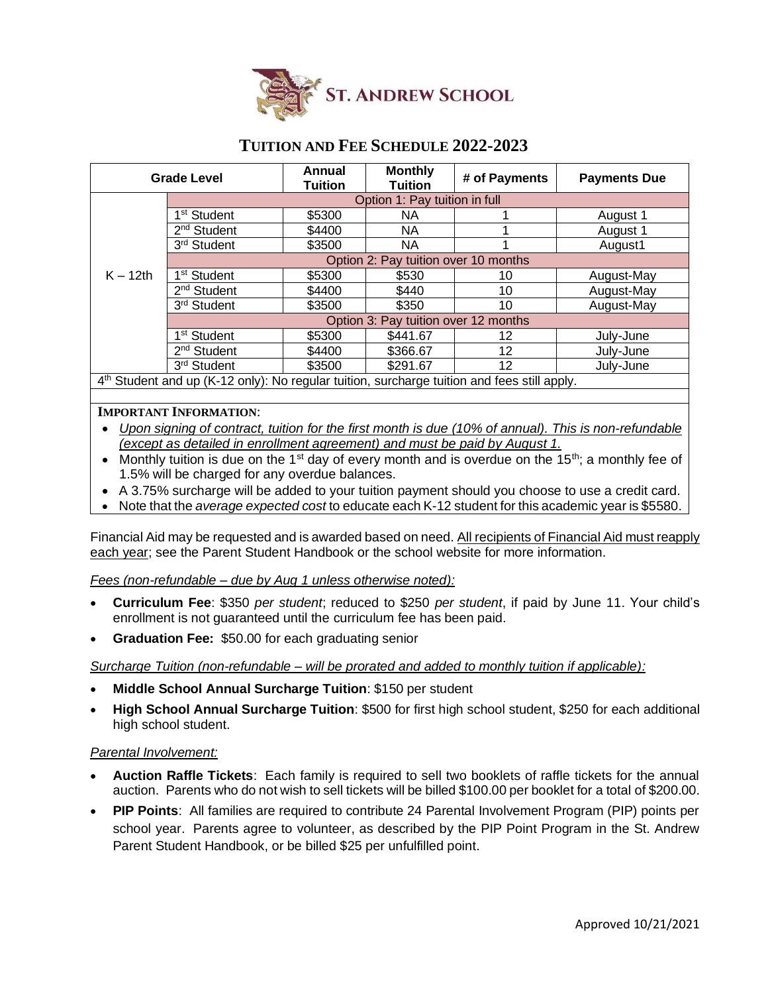

## **TUITION AND FEE SCHEDULE 2022-2023**

| <b>Grade Level</b>                                                                                      |                                      | <b>Annual</b><br>Tuition | <b>Monthly</b><br><b>Tuition</b> | # of Payments | <b>Payments Due</b> |
|---------------------------------------------------------------------------------------------------------|--------------------------------------|--------------------------|----------------------------------|---------------|---------------------|
|                                                                                                         | Option 1: Pay tuition in full        |                          |                                  |               |                     |
| $K - 12$ th                                                                                             | 1 <sup>st</sup> Student              | \$5300                   | NA.                              |               | August 1            |
|                                                                                                         | 2 <sup>nd</sup> Student              | \$4400                   | NA.                              |               | August 1            |
|                                                                                                         | 3rd Student                          | \$3500                   | NA.                              |               | August1             |
|                                                                                                         | Option 2: Pay tuition over 10 months |                          |                                  |               |                     |
|                                                                                                         | 1 <sup>st</sup> Student              | \$5300                   | \$530                            | 10            | August-May          |
|                                                                                                         | 2 <sup>nd</sup> Student              | \$4400                   | \$440                            | 10            | August-May          |
|                                                                                                         | 3rd Student                          | \$3500                   | \$350                            | 10            | August-May          |
|                                                                                                         | Option 3: Pay tuition over 12 months |                          |                                  |               |                     |
|                                                                                                         | 1 <sup>st</sup> Student              | \$5300                   | \$441.67                         | 12            | July-June           |
|                                                                                                         | $2nd$ Student                        | \$4400                   | \$366.67                         | 12            | July-June           |
|                                                                                                         | 3rd Student                          | \$3500                   | \$291.67                         | 12            | July-June           |
| 4 <sup>th</sup> Student and up (K-12 only): No regular tuition, surcharge tuition and fees still apply. |                                      |                          |                                  |               |                     |

## **IMPORTANT INFORMATION**:

- *Upon signing of contract, tuition for the first month is due (10% of annual). This is non-refundable (except as detailed in enrollment agreement) and must be paid by August 1.*
- Monthly tuition is due on the 1<sup>st</sup> day of every month and is overdue on the 15<sup>th</sup>; a monthly fee of 1.5% will be charged for any overdue balances.
- A 3.75% surcharge will be added to your tuition payment should you choose to use a credit card.
- Note that the *average expected cost* to educate each K-12 student for this academic year is \$5580.

Financial Aid may be requested and is awarded based on need. All recipients of Financial Aid must reapply each year; see the Parent Student Handbook or the school website for more information.

## *Fees (non-refundable – due by Aug 1 unless otherwise noted):*

- **Curriculum Fee**: \$350 *per student*; reduced to \$250 *per student*, if paid by June 11. Your child's enrollment is not guaranteed until the curriculum fee has been paid.
- **Graduation Fee:** \$50.00 for each graduating senior

*Surcharge Tuition (non-refundable – will be prorated and added to monthly tuition if applicable):*

- **Middle School Annual Surcharge Tuition**: \$150 per student
- **High School Annual Surcharge Tuition**: \$500 for first high school student, \$250 for each additional high school student.

## *Parental Involvement:*

- **Auction Raffle Tickets**: Each family is required to sell two booklets of raffle tickets for the annual auction. Parents who do not wish to sell tickets will be billed \$100.00 per booklet for a total of \$200.00.
- **PIP Points**: All families are required to contribute 24 Parental Involvement Program (PIP) points per school year. Parents agree to volunteer, as described by the PIP Point Program in the St. Andrew Parent Student Handbook, or be billed \$25 per unfulfilled point.